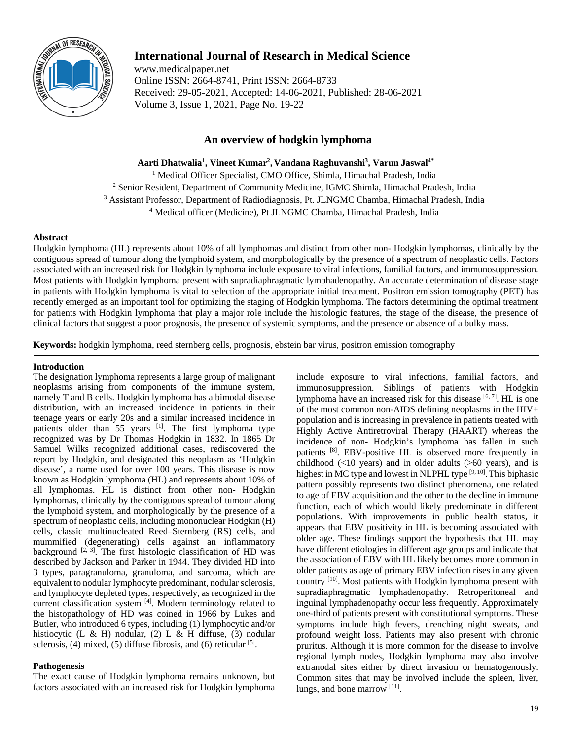

# **International Journal of Research in Medical Science**

www.medicalpaper.net Online ISSN: 2664-8741, Print ISSN: 2664-8733 Received: 29-05-2021, Accepted: 14-06-2021, Published: 28-06-2021 Volume 3, Issue 1, 2021, Page No. 19-22

# **An overview of hodgkin lymphoma**

**Aarti Dhatwalia1 , Vineet Kumar2 , Vandana Raghuvanshi3 , Varun Jaswal4\***

<sup>1</sup> Medical Officer Specialist, CMO Office, Shimla, Himachal Pradesh, India <sup>2</sup> Senior Resident, Department of Community Medicine, IGMC Shimla, Himachal Pradesh, India <sup>3</sup> Assistant Professor, Department of Radiodiagnosis, Pt. JLNGMC Chamba, Himachal Pradesh, India <sup>4</sup> Medical officer (Medicine), Pt JLNGMC Chamba, Himachal Pradesh, India

# **Abstract**

Hodgkin lymphoma (HL) represents about 10% of all lymphomas and distinct from other non- Hodgkin lymphomas, clinically by the contiguous spread of tumour along the lymphoid system, and morphologically by the presence of a spectrum of neoplastic cells. Factors associated with an increased risk for Hodgkin lymphoma include exposure to viral infections, familial factors, and immunosuppression. Most patients with Hodgkin lymphoma present with supradiaphragmatic lymphadenopathy. An accurate determination of disease stage in patients with Hodgkin lymphoma is vital to selection of the appropriate initial treatment. Positron emission tomography (PET) has recently emerged as an important tool for optimizing the staging of Hodgkin lymphoma. The factors determining the optimal treatment for patients with Hodgkin lymphoma that play a major role include the histologic features, the stage of the disease, the presence of clinical factors that suggest a poor prognosis, the presence of systemic symptoms, and the presence or absence of a bulky mass.

**Keywords:** hodgkin lymphoma, reed sternberg cells, prognosis, ebstein bar virus, positron emission tomography

# **Introduction**

The designation lymphoma represents a large group of malignant neoplasms arising from components of the immune system, namely T and B cells. Hodgkin lymphoma has a bimodal disease distribution, with an increased incidence in patients in their teenage years or early 20s and a similar increased incidence in patients older than 55 years [1]. The first lymphoma type recognized was by Dr Thomas Hodgkin in 1832. In 1865 Dr Samuel Wilks recognized additional cases, rediscovered the report by Hodgkin, and designated this neoplasm as 'Hodgkin disease', a name used for over 100 years. This disease is now known as Hodgkin lymphoma (HL) and represents about 10% of all lymphomas. HL is distinct from other non- Hodgkin lymphomas, clinically by the contiguous spread of tumour along the lymphoid system, and morphologically by the presence of a spectrum of neoplastic cells, including mononuclear Hodgkin (H) cells, classic multinucleated Reed–Sternberg (RS) cells, and mummified (degenerating) cells against an inflammatory background  $[2, 3]$ . The first histologic classification of HD was described by Jackson and Parker in 1944. They divided HD into 3 types, paragranuloma, granuloma, and sarcoma, which are equivalent to nodular lymphocyte predominant, nodular sclerosis, and lymphocyte depleted types, respectively, as recognized in the current classification system [4]. Modern terminology related to the histopathology of HD was coined in 1966 by Lukes and Butler, who introduced 6 types, including (1) lymphocytic and/or histiocytic (L & H) nodular, (2) L & H diffuse, (3) nodular sclerosis, (4) mixed, (5) diffuse fibrosis, and (6) reticular  $^{[5]}$ .

# **Pathogenesis**

The exact cause of Hodgkin lymphoma remains unknown, but factors associated with an increased risk for Hodgkin lymphoma

include exposure to viral infections, familial factors, and immunosuppression. Siblings of patients with Hodgkin lymphoma have an increased risk for this disease <sup>[6, 7]</sup>. HL is one of the most common non-AIDS defining neoplasms in the HIV+ population and is increasing in prevalence in patients treated with Highly Active Antiretroviral Therapy (HAART) whereas the incidence of non- Hodgkin's lymphoma has fallen in such patients [8]. EBV-positive HL is observed more frequently in childhood (<10 years) and in older adults (>60 years), and is highest in MC type and lowest in NLPHL type [9, 10]. This biphasic pattern possibly represents two distinct phenomena, one related to age of EBV acquisition and the other to the decline in immune function, each of which would likely predominate in different populations. With improvements in public health status, it appears that EBV positivity in HL is becoming associated with older age. These findings support the hypothesis that HL may have different etiologies in different age groups and indicate that the association of EBV with HL likely becomes more common in older patients as age of primary EBV infection rises in any given country <sup>[10]</sup>. Most patients with Hodgkin lymphoma present with supradiaphragmatic lymphadenopathy. Retroperitoneal and inguinal lymphadenopathy occur less frequently. Approximately one-third of patients present with constitutional symptoms. These symptoms include high fevers, drenching night sweats, and profound weight loss. Patients may also present with chronic pruritus. Although it is more common for the disease to involve regional lymph nodes, Hodgkin lymphoma may also involve extranodal sites either by direct invasion or hematogenously. Common sites that may be involved include the spleen, liver, lungs, and bone marrow [11].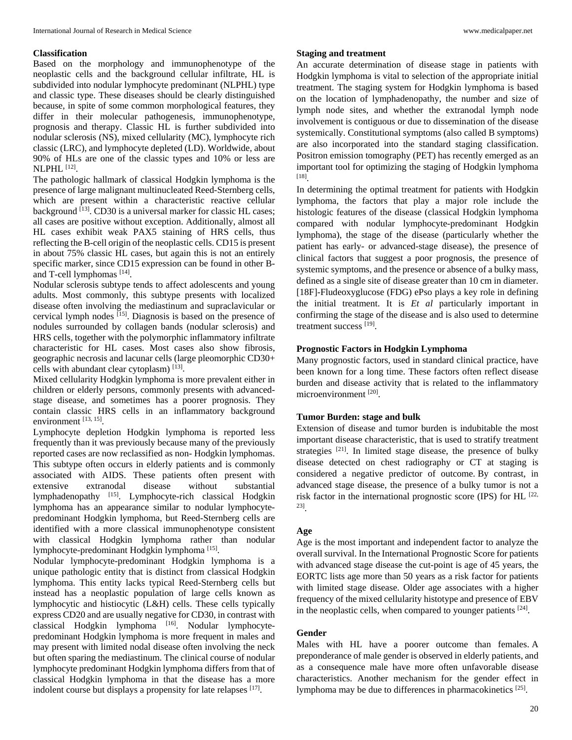#### **Classification**

Based on the morphology and immunophenotype of the neoplastic cells and the background cellular infiltrate, HL is subdivided into nodular lymphocyte predominant (NLPHL) type and classic type. These diseases should be clearly distinguished because, in spite of some common morphological features, they differ in their molecular pathogenesis, immunophenotype, prognosis and therapy. Classic HL is further subdivided into nodular sclerosis (NS), mixed cellularity (MC), lymphocyte rich classic (LRC), and lymphocyte depleted (LD). Worldwide, about 90% of HLs are one of the classic types and 10% or less are NLPHL [12].

The pathologic hallmark of classical Hodgkin lymphoma is the presence of large malignant multinucleated Reed-Sternberg cells, which are present within a characteristic reactive cellular background <sup>[13]</sup>. CD30 is a universal marker for classic HL cases; all cases are positive without exception. Additionally, almost all HL cases exhibit weak PAX5 staining of HRS cells, thus reflecting the B-cell origin of the neoplastic cells. CD15 is present in about 75% classic HL cases, but again this is not an entirely specific marker, since CD15 expression can be found in other Band T-cell lymphomas [14].

Nodular sclerosis subtype tends to affect adolescents and young adults. Most commonly, this subtype presents with localized disease often involving the mediastinum and supraclavicular or cervical lymph nodes [15]. Diagnosis is based on the presence of nodules surrounded by collagen bands (nodular sclerosis) and HRS cells, together with the polymorphic inflammatory infiltrate characteristic for HL cases. Most cases also show fibrosis, geographic necrosis and lacunar cells (large pleomorphic CD30+ cells with abundant clear cytoplasm)  $[13]$ .

Mixed cellularity Hodgkin lymphoma is more prevalent either in children or elderly persons, commonly presents with advancedstage disease, and sometimes has a poorer prognosis. They contain classic HRS cells in an inflammatory background environment  $^{[13, 15]}$ .

Lymphocyte depletion Hodgkin lymphoma is reported less frequently than it was previously because many of the previously reported cases are now reclassified as non- Hodgkin lymphomas. This subtype often occurs in elderly patients and is commonly associated with AIDS. These patients often present with extensive extranodal disease without substantial lymphadenopathy [15]. Lymphocyte-rich classical Hodgkin lymphoma has an appearance similar to nodular lymphocytepredominant Hodgkin lymphoma, but Reed-Sternberg cells are identified with a more classical immunophenotype consistent with classical Hodgkin lymphoma rather than nodular lymphocyte-predominant Hodgkin lymphoma [15].

Nodular lymphocyte-predominant Hodgkin lymphoma is a unique pathologic entity that is distinct from classical Hodgkin lymphoma. This entity lacks typical Reed-Sternberg cells but instead has a neoplastic population of large cells known as lymphocytic and histiocytic (L&H) cells. These cells typically express CD20 and are usually negative for CD30, in contrast with classical Hodgkin lymphoma [16]. Nodular lymphocytepredominant Hodgkin lymphoma is more frequent in males and may present with limited nodal disease often involving the neck but often sparing the mediastinum. The clinical course of nodular lymphocyte predominant Hodgkin lymphoma differs from that of classical Hodgkin lymphoma in that the disease has a more indolent course but displays a propensity for late relapses [17].

#### **Staging and treatment**

An accurate determination of disease stage in patients with Hodgkin lymphoma is vital to selection of the appropriate initial treatment. The staging system for Hodgkin lymphoma is based on the location of lymphadenopathy, the number and size of lymph node sites, and whether the extranodal lymph node involvement is contiguous or due to dissemination of the disease systemically. Constitutional symptoms (also called B symptoms) are also incorporated into the standard staging classification. Positron emission tomography (PET) has recently emerged as an important tool for optimizing the staging of Hodgkin lymphoma [18] .

In determining the optimal treatment for patients with Hodgkin lymphoma, the factors that play a major role include the histologic features of the disease (classical Hodgkin lymphoma compared with nodular lymphocyte-predominant Hodgkin lymphoma), the stage of the disease (particularly whether the patient has early- or advanced-stage disease), the presence of clinical factors that suggest a poor prognosis, the presence of systemic symptoms, and the presence or absence of a bulky mass, defined as a single site of disease greater than 10 cm in diameter. [18F]-Fludeoxyglucose (FDG) ePso plays a key role in defining the initial treatment. It is *Et al* particularly important in confirming the stage of the disease and is also used to determine treatment success [19].

# **Prognostic Factors in Hodgkin Lymphoma**

Many prognostic factors, used in standard clinical practice, have been known for a long time. These factors often reflect disease burden and disease activity that is related to the inflammatory microenvironment [20].

#### **Tumor Burden: stage and bulk**

Extension of disease and tumor burden is indubitable the most important disease characteristic, that is used to stratify treatment strategies <sup>[21]</sup>. In limited stage disease, the presence of bulky disease detected on chest radiography or CT at staging is considered a negative predictor of outcome. By contrast, in advanced stage disease, the presence of a bulky tumor is not a risk factor in the international prognostic score (IPS) for HL  $^{[22]}$ , 23] .

#### **Age**

Age is the most important and independent factor to analyze the overall survival. In the International Prognostic Score for patients with advanced stage disease the cut-point is age of 45 years, the EORTC lists age more than 50 years as a risk factor for patients with limited stage disease. Older age associates with a higher frequency of the mixed cellularity histotype and presence of EBV in the neoplastic cells, when compared to younger patients [24].

#### **Gender**

Males with HL have a poorer outcome than females. A preponderance of male gender is observed in elderly patients, and as a consequence male have more often unfavorable disease characteristics. Another mechanism for the gender effect in lymphoma may be due to differences in pharmacokinetics [25].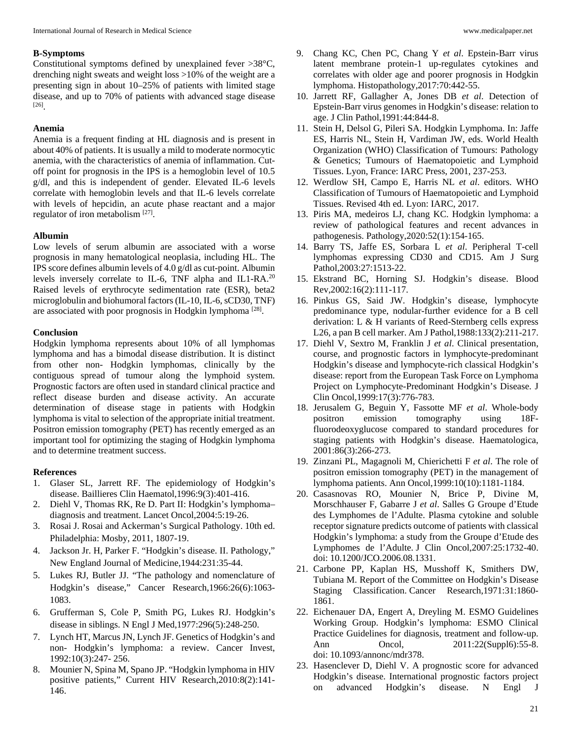### **B-Symptoms**

Constitutional symptoms defined by unexplained fever >38°C, drenching night sweats and weight loss >10% of the weight are a presenting sign in about 10–25% of patients with limited stage disease, and up to 70% of patients with advanced stage disease [26] .

# **Anemia**

Anemia is a frequent finding at HL diagnosis and is present in about 40% of patients. It is usually a mild to moderate normocytic anemia, with the characteristics of anemia of inflammation. Cutoff point for prognosis in the IPS is a hemoglobin level of 10.5 g/dl, and this is independent of gender. Elevated IL-6 levels correlate with hemoglobin levels and that IL-6 levels correlate with levels of hepcidin, an acute phase reactant and a major regulator of iron metabolism [27].

### **Albumin**

Low levels of serum albumin are associated with a worse prognosis in many hematological neoplasia, including HL. The IPS score defines albumin levels of 4.0 g/dl as cut-point. Albumin levels inversely correlate to IL-6, TNF alpha and IL1-RA.<sup>20</sup> Raised levels of erythrocyte sedimentation rate (ESR), beta2 microglobulin and biohumoral factors (IL-10, IL-6, sCD30, TNF) are associated with poor prognosis in Hodgkin lymphoma<sup>[28]</sup>.

#### **Conclusion**

Hodgkin lymphoma represents about 10% of all lymphomas lymphoma and has a bimodal disease distribution. It is distinct from other non- Hodgkin lymphomas, clinically by the contiguous spread of tumour along the lymphoid system. Prognostic factors are often used in standard clinical practice and reflect disease burden and disease activity. An accurate determination of disease stage in patients with Hodgkin lymphoma is vital to selection of the appropriate initial treatment. Positron emission tomography (PET) has recently emerged as an important tool for optimizing the staging of Hodgkin lymphoma and to determine treatment success.

## **References**

- 1. Glaser SL, Jarrett RF. The epidemiology of Hodgkin's disease. Baillieres Clin Haematol,1996:9(3):401-416.
- 2. Diehl V, Thomas RK, Re D. Part II: Hodgkin's lymphoma– diagnosis and treatment. Lancet Oncol,2004:5:19-26.
- 3. Rosai J. Rosai and Ackerman's Surgical Pathology. 10th ed. Philadelphia: Mosby, 2011, 1807-19.
- 4. Jackson Jr. H, Parker F. "Hodgkin's disease. II. Pathology," New England Journal of Medicine,1944:231:35-44.
- 5. Lukes RJ, Butler JJ. "The pathology and nomenclature of Hodgkin's disease," Cancer Research,1966:26(6):1063- 1083.
- 6. Grufferman S, Cole P, Smith PG, Lukes RJ. Hodgkin's disease in siblings. N Engl J Med,1977:296(5):248-250.
- 7. Lynch HT, Marcus JN, Lynch JF. Genetics of Hodgkin's and non- Hodgkin's lymphoma: a review. Cancer Invest, 1992:10(3):247- 256.
- 8. Mounier N, Spina M, Spano JP. "Hodgkin lymphoma in HIV positive patients," Current HIV Research,2010:8(2):141- 146.
- 9. Chang KC, Chen PC, Chang Y *et al*. Epstein-Barr virus latent membrane protein-1 up-regulates cytokines and correlates with older age and poorer prognosis in Hodgkin lymphoma. Histopathology,2017:70:442-55.
- 10. Jarrett RF, Gallagher A, Jones DB *et al*. Detection of Epstein-Barr virus genomes in Hodgkin's disease: relation to age. J Clin Pathol,1991:44:844-8.
- 11. Stein H, Delsol G, Pileri SA. Hodgkin Lymphoma. In: Jaffe ES, Harris NL, Stein H, Vardiman JW, eds. World Health Organization (WHO) Classification of Tumours: Pathology & Genetics; Tumours of Haematopoietic and Lymphoid Tissues. Lyon, France: IARC Press, 2001, 237-253.
- 12. Werdlow SH, Campo E, Harris NL *et al*. editors. WHO Classification of Tumours of Haematopoietic and Lymphoid Tissues. Revised 4th ed. Lyon: IARC, 2017.
- 13. Piris MA, medeiros LJ, chang KC. Hodgkin lymphoma: a review of pathological features and recent advances in pathogenesis. Pathology,2020:52(1):154-165.
- 14. Barry TS, Jaffe ES, Sorbara L *et al*. Peripheral T-cell lymphomas expressing CD30 and CD15. Am J Surg Pathol,2003:27:1513-22.
- 15. Ekstrand BC, Horning SJ. Hodgkin's disease. Blood Rev,2002:16(2):111-117.
- 16. Pinkus GS, Said JW. Hodgkin's disease, lymphocyte predominance type, nodular-further evidence for a B cell derivation: L & H variants of Reed-Sternberg cells express L26, a pan B cell marker. Am J Pathol,1988:133(2):211-217.
- 17. Diehl V, Sextro M, Franklin J *et al*. Clinical presentation, course, and prognostic factors in lymphocyte-predominant Hodgkin's disease and lymphocyte-rich classical Hodgkin's disease: report from the European Task Force on Lymphoma Project on Lymphocyte-Predominant Hodgkin's Disease. J Clin Oncol,1999:17(3):776-783.
- 18. Jerusalem G, Beguin Y, Fassotte MF *et al*. Whole-body positron emission tomography using 18Ffluorodeoxyglucose compared to standard procedures for staging patients with Hodgkin's disease. Haematologica, 2001:86(3):266-273.
- 19. Zinzani PL, Magagnoli M, Chierichetti F *et al*. The role of positron emission tomography (PET) in the management of lymphoma patients. Ann Oncol,1999:10(10):1181-1184.
- 20. Casasnovas RO, Mounier N, Brice P, Divine M, Morschhauser F, Gabarre J *et al*. Salles G Groupe d'Etude des Lymphomes de l'Adulte. Plasma cytokine and soluble receptor signature predicts outcome of patients with classical Hodgkin's lymphoma: a study from the Groupe d'Etude des Lymphomes de l'Adulte. J Clin Oncol,2007:25:1732-40. doi: 10.1200/JCO.2006.08.1331.
- 21. Carbone PP, Kaplan HS, Musshoff K, Smithers DW, Tubiana M. Report of the Committee on Hodgkin's Disease Staging Classification. Cancer Research,1971:31:1860- 1861.
- 22. Eichenauer DA, Engert A, Dreyling M. ESMO Guidelines Working Group. Hodgkin's lymphoma: ESMO Clinical Practice Guidelines for diagnosis, treatment and follow-up. Ann Oncol, 2011:22(Suppl6):55-8. doi: 10.1093/annonc/mdr378.
- 23. Hasenclever D, Diehl V. A prognostic score for advanced Hodgkin's disease. International prognostic factors project on advanced Hodgkin's disease. N Engl J